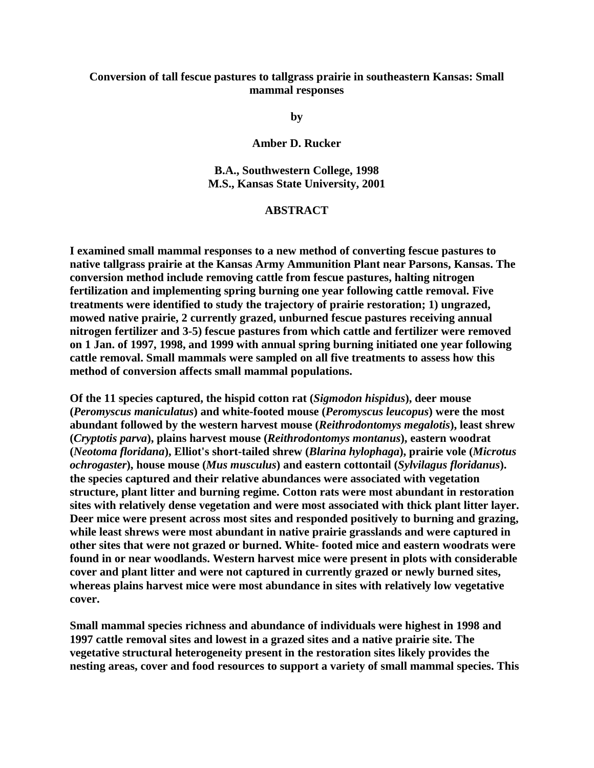## **Conversion of tall fescue pastures to tallgrass prairie in southeastern Kansas: Small mammal responses**

**by**

**Amber D. Rucker**

**B.A., Southwestern College, 1998 M.S., Kansas State University, 2001** 

## **ABSTRACT**

**I examined small mammal responses to a new method of converting fescue pastures to native tallgrass prairie at the Kansas Army Ammunition Plant near Parsons, Kansas. The conversion method include removing cattle from fescue pastures, halting nitrogen fertilization and implementing spring burning one year following cattle removal. Five treatments were identified to study the trajectory of prairie restoration; 1) ungrazed, mowed native prairie, 2 currently grazed, unburned fescue pastures receiving annual nitrogen fertilizer and 3-5) fescue pastures from which cattle and fertilizer were removed on 1 Jan. of 1997, 1998, and 1999 with annual spring burning initiated one year following cattle removal. Small mammals were sampled on all five treatments to assess how this method of conversion affects small mammal populations.**

**Of the 11 species captured, the hispid cotton rat (***Sigmodon hispidus***), deer mouse (***Peromyscus maniculatus***) and white-footed mouse (***Peromyscus leucopus***) were the most abundant followed by the western harvest mouse (***Reithrodontomys megalotis***), least shrew (***Cryptotis parva***), plains harvest mouse (***Reithrodontomys montanus***), eastern woodrat (***Neotoma floridana***), Elliot's short-tailed shrew (***Blarina hylophaga***), prairie vole (***Microtus ochrogaster***), house mouse (***Mus musculus***) and eastern cottontail (***Sylvilagus floridanus***). the species captured and their relative abundances were associated with vegetation structure, plant litter and burning regime. Cotton rats were most abundant in restoration sites with relatively dense vegetation and were most associated with thick plant litter layer. Deer mice were present across most sites and responded positively to burning and grazing, while least shrews were most abundant in native prairie grasslands and were captured in other sites that were not grazed or burned. White- footed mice and eastern woodrats were found in or near woodlands. Western harvest mice were present in plots with considerable cover and plant litter and were not captured in currently grazed or newly burned sites, whereas plains harvest mice were most abundance in sites with relatively low vegetative cover.**

**Small mammal species richness and abundance of individuals were highest in 1998 and 1997 cattle removal sites and lowest in a grazed sites and a native prairie site. The vegetative structural heterogeneity present in the restoration sites likely provides the nesting areas, cover and food resources to support a variety of small mammal species. This**